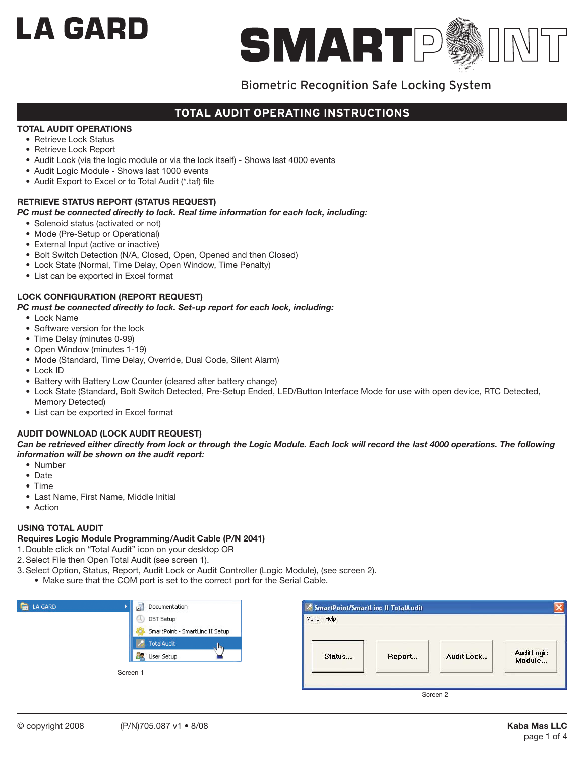# LA GARD



# Biometric Recognition Safe Locking System

# **total audit operating instructions**

## **TOTAL AUDIT OPERATIONS**

- Retrieve Lock Status
- Retrieve Lock Report
- Audit Lock (via the logic module or via the lock itself) Shows last 4000 events
- Audit Logic Module Shows last 1000 events
- Audit Export to Excel or to Total Audit (\*.taf) file

## **RETRIEVE STATUS REPORT (STATUS REQUEST)**

## *PC must be connected directly to lock. Real time information for each lock, including:*

- Solenoid status (activated or not)
- Mode (Pre-Setup or Operational)
- External Input (active or inactive)
- Bolt Switch Detection (N/A, Closed, Open, Opened and then Closed)
- Lock State (Normal, Time Delay, Open Window, Time Penalty)
- List can be exported in Excel format

## **LOCK CONFIGURATION (REPORT REQUEST)**

## *PC must be connected directly to lock. Set-up report for each lock, including:*

- Lock Name
- Software version for the lock
- Time Delay (minutes 0-99)
- Open Window (minutes 1-19)
- Mode (Standard, Time Delay, Override, Dual Code, Silent Alarm)
- Lock ID
- Battery with Battery Low Counter (cleared after battery change)
- Lock State (Standard, Bolt Switch Detected, Pre-Setup Ended, LED/Button Interface Mode for use with open device, RTC Detected, Memory Detected)
- List can be exported in Excel format

## **AUDIT DOWNLOAD (LOCK AUDIT REQUEST)**

Can be retrieved either directly from lock or through the Logic Module. Each lock will record the last 4000 operations. The following *information will be shown on the audit report:*

- Number
- Date
- Time
- Last Name, First Name, Middle Initial
- Action

## **USING TOTAL AUDIT**

#### **Requires Logic Module Programming/Audit Cable (P/N 2041)**

- 1. Double click on "Total Audit" icon on your desktop OR
- 2. Select File then Open Total Audit (see screen 1).
- 3. Select Option, Status, Report, Audit Lock or Audit Controller (Logic Module), (see screen 2).
	- Make sure that the COM port is set to the correct port for the Serial Cable.

| <b>ED</b> LA GARD | Documentation                               | SmartPoint/SmartLinc II TotalAudit                      | $\boxed{\mathsf{x}}$ |
|-------------------|---------------------------------------------|---------------------------------------------------------|----------------------|
|                   | DST Setup                                   | Menu Help                                               |                      |
|                   | SmartPoint - SmartLinc II Setup             |                                                         |                      |
|                   | <b>A</b> TotalAudit<br><b>DR</b> User Setup | Audit Logic<br>Module<br>Audit Lock<br>Report<br>Status |                      |
|                   | Screen 1                                    |                                                         |                      |
|                   |                                             | Screen 2                                                |                      |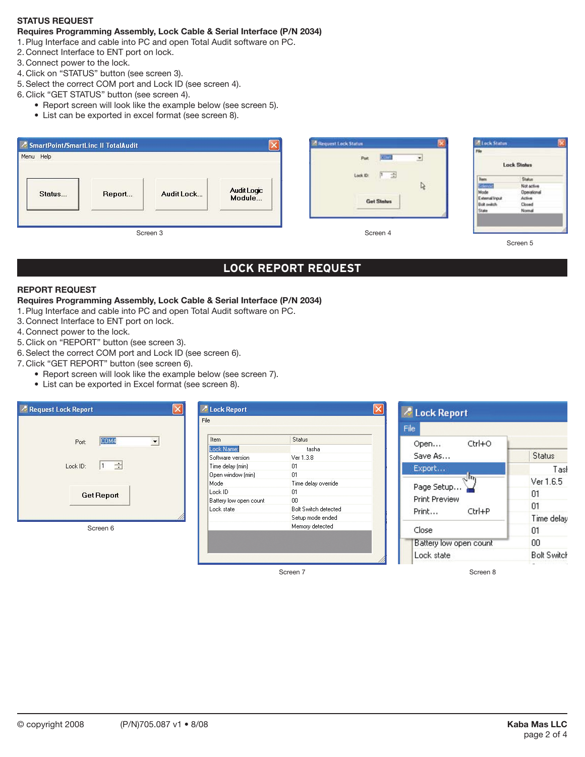## **STATUS REQUEST**

# **Requires Programming Assembly, Lock Cable & Serial Interface (P/N 2034)**

- 1. Plug Interface and cable into PC and open Total Audit software on PC.
- 2. Connect Interface to ENT port on lock.
- 3. Connect power to the lock.
- 4. Click on "STATUS" button (see screen 3).
- 5. Select the correct COM port and Lock ID (see screen 4).
- 6. Click "GET STATUS" button (see screen 4).
	- Report screen will look like the example below (see screen 5).
	- List can be exported in excel format (see screen 8).

| SmartPoint/SmartLinc II TotalAudit |        |            |                       | Request Lock Status                      | <b>Elock Status</b>                                                                  |                                                                   |
|------------------------------------|--------|------------|-----------------------|------------------------------------------|--------------------------------------------------------------------------------------|-------------------------------------------------------------------|
| Menu Help                          |        |            |                       | Pot                                      | Für                                                                                  | <b>Lock Status</b>                                                |
| Status                             | Report | Audit Lock | Audit Logic<br>Module | Lock ID:<br>中齿<br>R<br><b>Get Status</b> | <b>Ikecs</b><br><b>Geno</b><br>Mode<br>External Input<br><b>Bolt switch</b><br>State | Status<br>Not active<br>Operational<br>Active<br>Closed<br>Normal |
|                                    |        | Screen 3   |                       | Screen 4                                 |                                                                                      | Screen 5                                                          |

# **lock report request**

## **REPORT REQUEST**

#### **Requires Programming Assembly, Lock Cable & Serial Interface (P/N 2034)**

- 1. Plug Interface and cable into PC and open Total Audit software on PC.
- 3. Connect Interface to ENT port on lock.
- 4. Connect power to the lock.
- 5. Click on "REPORT" button (see screen 3).
- 6. Select the correct COM port and Lock ID (see screen 6).
- 7. Click "GET REPORT" button (see screen 6).
	- Report screen will look like the example below (see screen 7).
		- List can be exported in Excel format (see screen 8).



Screen 7

Screen 8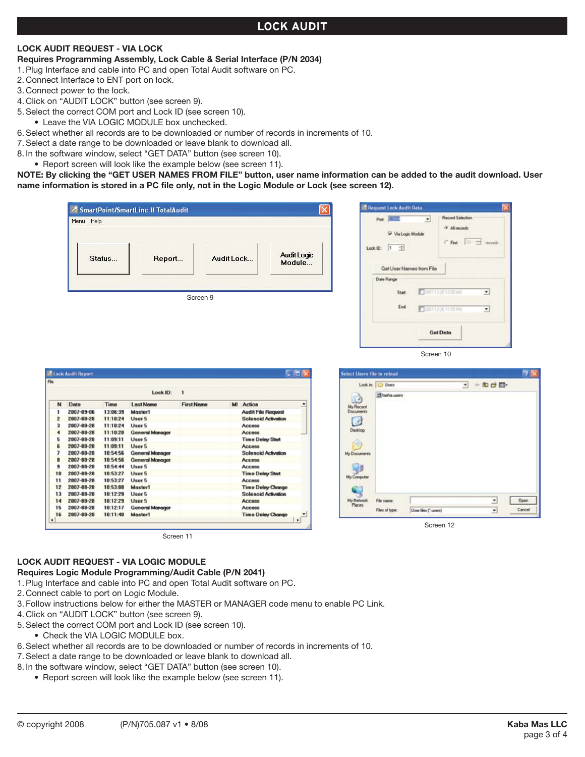# **lock AUDIT**

## **LOCK AUDIT REQUEST - VIA LOCK**

- **Requires Programming Assembly, Lock Cable & Serial Interface (P/N 2034)**
- 1. Plug Interface and cable into PC and open Total Audit software on PC.
- 2. Connect Interface to ENT port on lock.
- 3. Connect power to the lock.
- 4. Click on "AUDIT LOCK" button (see screen 9).
- 5. Select the correct COM port and Lock ID (see screen 10).
	- Leave the VIA LOGIC MODULE box unchecked.
- 6. Select whether all records are to be downloaded or number of records in increments of 10.
- 7. Select a date range to be downloaded or leave blank to download all.
- 8. In the software window, select "GET DATA" button (see screen 10).
- Report screen will look like the example below (see screen 11).

**NOTE: By clicking the "GET USER NAMES FROM FILE" button, user name information can be added to the audit download. User name information is stored in a PC file only, not in the Logic Module or Lock (see screen 12).**

| Menu Help                                                                        | SmartPoint/SmartLinc II TotalAudit                       |                   |                                          | $\mathbf{\overline{x}}$ | Request Lock Audit Data<br>Port 3017F<br>츼                         | <b>Record Selection</b><br>G All records                                     |
|----------------------------------------------------------------------------------|----------------------------------------------------------|-------------------|------------------------------------------|-------------------------|--------------------------------------------------------------------|------------------------------------------------------------------------------|
| Status                                                                           | Report                                                   | Audit Lock        | Audit Logic<br>Module                    |                         | Via Logic Module<br>П<br>瀈<br>Lock ID:<br>Get User Names from File | $C$ Fest<br>10 号<br>iecodi                                                   |
|                                                                                  |                                                          | Screen 9          |                                          |                         | Date Range<br>Stat<br>End                                          | F 2007-12-20 12:00 AM<br>회<br>$\overline{\phantom{0}}$<br>FR07-12-2011-59 PM |
|                                                                                  |                                                          |                   |                                          |                         |                                                                    | <b>Get Data</b>                                                              |
|                                                                                  |                                                          |                   |                                          |                         |                                                                    |                                                                              |
|                                                                                  |                                                          |                   |                                          |                         | Screen 10                                                          |                                                                              |
|                                                                                  |                                                          |                   |                                          | E E                     | Select Users file to relead                                        |                                                                              |
|                                                                                  | Lock ID:                                                 | $\mathbf{1}$      |                                          |                         | Look in: Users<br>El tasha users                                   | $ -$ 0 $ -$                                                                  |
| Date                                                                             | <b>Last Name</b><br><b>Time</b>                          | <b>First Name</b> | <b>MI</b> Action                         | $\Box$                  |                                                                    |                                                                              |
|                                                                                  | 13:06:39<br>Master1                                      |                   | <b>Audit File Request</b>                | My Recent<br>Documents  |                                                                    |                                                                              |
| 2007-09-06                                                                       | User 5<br>11:10:24                                       |                   | <b>Solenoid Activation</b>               | C                       |                                                                    |                                                                              |
|                                                                                  | User 5<br>11:10:24                                       |                   | Access                                   | Decktop                 |                                                                    |                                                                              |
| <b>Lock Audit Report</b><br>2007-08-28<br>2007-08-28<br>2007-08-28<br>2007-08-28 | 11:10:20<br><b>General Manager</b><br>11:09:11<br>User 5 |                   | <b>Access</b><br><b>Time Delay Start</b> | P.)                     |                                                                    |                                                                              |

|                      |            |             | Lock ID:               | 1                 |    |                                       |                          |
|----------------------|------------|-------------|------------------------|-------------------|----|---------------------------------------|--------------------------|
| N                    | Date       | <b>Time</b> | <b>Last Name</b>       | <b>First Name</b> | MI | <b>Action</b>                         | $\overline{\phantom{a}}$ |
| ٦                    | 2007-09-06 | 13:06:39    | Moster1                |                   |    | <b>Audit File Request</b>             |                          |
| $\mathbf{z}$         | 2007-08-28 | 11:10:24    | User 5                 |                   |    | <b>Solenoid Activation</b>            |                          |
| з                    | 2007-08-28 | 11:10:24    | User 5                 |                   |    | <b>Access</b>                         |                          |
| $\blacktriangleleft$ | 2007-08-28 | 11:10:20    | <b>General Manager</b> |                   |    | <b>Access</b>                         |                          |
| 5                    | 2007-08-28 | 11:09:11    | User 5                 |                   |    | <b>Time Delay Start</b>               |                          |
| Ë.                   | 2007-08-28 | 11:09:11    | User 5                 |                   |    | Access                                |                          |
| 7                    | 2007-08-28 | 10:54:56    | <b>General Manager</b> |                   |    | <b>Solenoid Activation</b>            |                          |
| ā                    | 2007-08-28 | 10:54:56    | <b>General Manager</b> |                   |    | <b>Access</b>                         |                          |
| 9                    | 2007-08-28 | 10:54:44    | Liser 5                |                   |    | <b>Access</b>                         |                          |
| 10                   | 2007-08-28 | 10:53:27    | User 5                 |                   |    | <b>Time Delay Start</b>               |                          |
| 11                   | 2007-08-28 | 10:53:27    | User 5                 |                   |    | <b>Access</b>                         |                          |
| 12                   | 2007-08-28 | 10:53:08    | Master1                |                   |    | <b>Time Delay Change</b>              |                          |
| 13                   | 2007-08-28 | 10:12:29    | User 5                 |                   |    | Solenoid Activation                   |                          |
| 14                   | 2007-08-28 | 10:12:29    | User 5                 |                   |    | <b>Access</b>                         |                          |
| 15                   | 2007-08-28 | 10:12:17    | <b>General Manager</b> |                   |    | Access                                |                          |
| 16<br>٠              | 2007-08-28 | 10:11:40    | Master1                |                   |    | <b>Time Delay Change</b><br>$\bullet$ | ٠                        |

Screen 11

| My Recent<br>Documents<br>$\overline{C}$<br>Desktop<br>œ<br>My Documents | El tasha users |                    |   |        |
|--------------------------------------------------------------------------|----------------|--------------------|---|--------|
| My Computer                                                              |                |                    |   |        |
| My Network<br>Places                                                     | File name:     |                    | Ξ | Open   |
|                                                                          | Files of type: | User Nes (".users) | ٠ | Cancel |

Screen 12

#### **LOCK AUDIT REQUEST - VIA LOGIC MODULE**

#### **Requires Logic Module Programming/Audit Cable (P/N 2041)**

- 1. Plug Interface and cable into PC and open Total Audit software on PC.
- 2. Connect cable to port on Logic Module.
- 3. Follow instructions below for either the MASTER or MANAGER code menu to enable PC Link.
- 4. Click on "AUDIT LOCK" button (see screen 9).
- 5. Select the correct COM port and Lock ID (see screen 10).
	- Check the VIA LOGIC MODULE box.
- 6. Select whether all records are to be downloaded or number of records in increments of 10.
- 7. Select a date range to be downloaded or leave blank to download all.
- 8. In the software window, select "GET DATA" button (see screen 10).
	- Report screen will look like the example below (see screen 11).